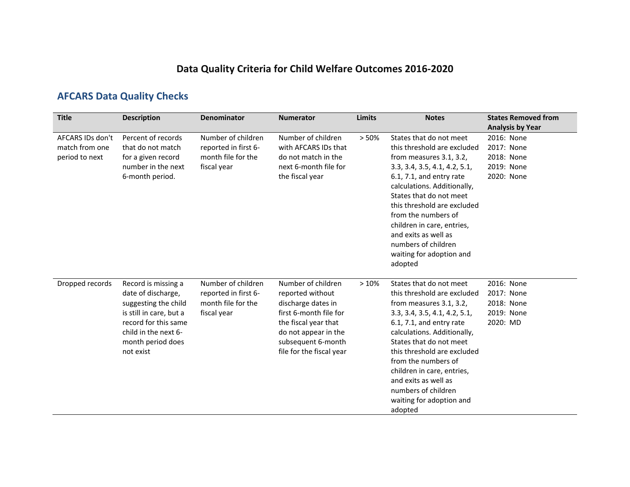# **Data Quality Criteria for Child Welfare Outcomes 2016-2020**

# **AFCARS Data Quality Checks**

| <b>Title</b>                                         | <b>Description</b>                                                                                                                                                             | <b>Denominator</b>                                                              | <b>Numerator</b>                                                                                                                                                                         | <b>Limits</b> | <b>Notes</b>                                                                                                                                                                                                                                                                                                                                                                         | <b>States Removed from</b><br><b>Analysis by Year</b>              |
|------------------------------------------------------|--------------------------------------------------------------------------------------------------------------------------------------------------------------------------------|---------------------------------------------------------------------------------|------------------------------------------------------------------------------------------------------------------------------------------------------------------------------------------|---------------|--------------------------------------------------------------------------------------------------------------------------------------------------------------------------------------------------------------------------------------------------------------------------------------------------------------------------------------------------------------------------------------|--------------------------------------------------------------------|
| AFCARS IDs don't<br>match from one<br>period to next | Percent of records<br>that do not match<br>for a given record<br>number in the next<br>6-month period.                                                                         | Number of children<br>reported in first 6-<br>month file for the<br>fiscal year | Number of children<br>with AFCARS IDs that<br>do not match in the<br>next 6-month file for<br>the fiscal year                                                                            | > 50%         | States that do not meet<br>this threshold are excluded<br>from measures 3.1, 3.2,<br>3.3, 3.4, 3.5, 4.1, 4.2, 5.1,<br>$6.1, 7.1,$ and entry rate<br>calculations. Additionally,<br>States that do not meet<br>this threshold are excluded<br>from the numbers of<br>children in care, entries,<br>and exits as well as<br>numbers of children<br>waiting for adoption and<br>adopted | 2016: None<br>2017: None<br>2018: None<br>2019: None<br>2020: None |
| Dropped records                                      | Record is missing a<br>date of discharge,<br>suggesting the child<br>is still in care, but a<br>record for this same<br>child in the next 6-<br>month period does<br>not exist | Number of children<br>reported in first 6-<br>month file for the<br>fiscal year | Number of children<br>reported without<br>discharge dates in<br>first 6-month file for<br>the fiscal year that<br>do not appear in the<br>subsequent 6-month<br>file for the fiscal year | >10%          | States that do not meet<br>this threshold are excluded<br>from measures 3.1, 3.2,<br>3.3, 3.4, 3.5, 4.1, 4.2, 5.1,<br>6.1, 7.1, and entry rate<br>calculations. Additionally,<br>States that do not meet<br>this threshold are excluded<br>from the numbers of<br>children in care, entries,<br>and exits as well as<br>numbers of children<br>waiting for adoption and<br>adopted   | 2016: None<br>2017: None<br>2018: None<br>2019: None<br>2020: MD   |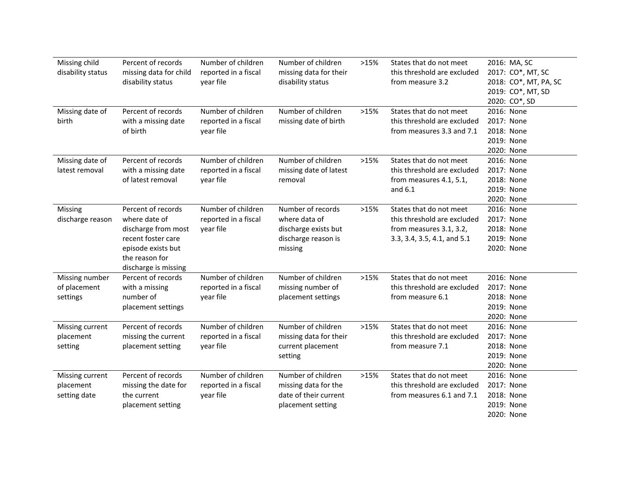| Missing child<br>disability status           | Percent of records<br>missing data for child<br>disability status                                                                                | Number of children<br>reported in a fiscal<br>year file | Number of children<br>missing data for their<br>disability status                            | >15% | States that do not meet<br>this threshold are excluded<br>from measure 3.2                                       | 2016: MA, SC<br>2017: CO*, MT, SC<br>2018: CO*, MT, PA, SC<br>2019: CO*, MT, SD<br>2020: CO*, SD |
|----------------------------------------------|--------------------------------------------------------------------------------------------------------------------------------------------------|---------------------------------------------------------|----------------------------------------------------------------------------------------------|------|------------------------------------------------------------------------------------------------------------------|--------------------------------------------------------------------------------------------------|
| Missing date of<br>birth                     | Percent of records<br>with a missing date<br>of birth                                                                                            | Number of children<br>reported in a fiscal<br>year file | Number of children<br>missing date of birth                                                  | >15% | States that do not meet<br>this threshold are excluded<br>from measures 3.3 and 7.1                              | 2016: None<br>2017: None<br>2018: None<br>2019: None<br>2020: None                               |
| Missing date of<br>latest removal            | Percent of records<br>with a missing date<br>of latest removal                                                                                   | Number of children<br>reported in a fiscal<br>year file | Number of children<br>missing date of latest<br>removal                                      | >15% | States that do not meet<br>this threshold are excluded<br>from measures 4.1, 5.1,<br>and $6.1$                   | 2016: None<br>2017: None<br>2018: None<br>2019: None<br>2020: None                               |
| Missing<br>discharge reason                  | Percent of records<br>where date of<br>discharge from most<br>recent foster care<br>episode exists but<br>the reason for<br>discharge is missing | Number of children<br>reported in a fiscal<br>year file | Number of records<br>where data of<br>discharge exists but<br>discharge reason is<br>missing | >15% | States that do not meet<br>this threshold are excluded<br>from measures 3.1, 3.2,<br>3.3, 3.4, 3.5, 4.1, and 5.1 | 2016: None<br>2017: None<br>2018: None<br>2019: None<br>2020: None                               |
| Missing number<br>of placement<br>settings   | Percent of records<br>with a missing<br>number of<br>placement settings                                                                          | Number of children<br>reported in a fiscal<br>year file | Number of children<br>missing number of<br>placement settings                                | >15% | States that do not meet<br>this threshold are excluded<br>from measure 6.1                                       | 2016: None<br>2017: None<br>2018: None<br>2019: None<br>2020: None                               |
| Missing current<br>placement<br>setting      | Percent of records<br>missing the current<br>placement setting                                                                                   | Number of children<br>reported in a fiscal<br>year file | Number of children<br>missing data for their<br>current placement<br>setting                 | >15% | States that do not meet<br>this threshold are excluded<br>from measure 7.1                                       | 2016: None<br>2017: None<br>2018: None<br>2019: None<br>2020: None                               |
| Missing current<br>placement<br>setting date | Percent of records<br>missing the date for<br>the current<br>placement setting                                                                   | Number of children<br>reported in a fiscal<br>year file | Number of children<br>missing data for the<br>date of their current<br>placement setting     | >15% | States that do not meet<br>this threshold are excluded<br>from measures 6.1 and 7.1                              | 2016: None<br>2017: None<br>2018: None<br>2019: None<br>2020: None                               |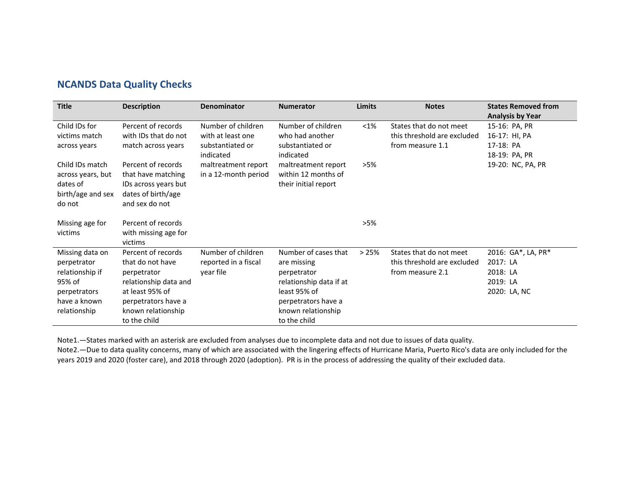#### **NCANDS Data Quality Checks**

| <b>Title</b>                                                                                                | <b>Description</b>                                                                                                                                             | <b>Denominator</b>                                                       | <b>Numerator</b>                                                                                                                                           | <b>Limits</b> | <b>Notes</b>                                                               | <b>States Removed from</b>                                                              |
|-------------------------------------------------------------------------------------------------------------|----------------------------------------------------------------------------------------------------------------------------------------------------------------|--------------------------------------------------------------------------|------------------------------------------------------------------------------------------------------------------------------------------------------------|---------------|----------------------------------------------------------------------------|-----------------------------------------------------------------------------------------|
| Child IDs for<br>victims match<br>across years                                                              | Percent of records<br>with IDs that do not<br>match across years                                                                                               | Number of children<br>with at least one<br>substantiated or<br>indicated | Number of children<br>who had another<br>substantiated or<br>indicated                                                                                     | $<$ 1%        | States that do not meet<br>this threshold are excluded<br>from measure 1.1 | <b>Analysis by Year</b><br>15-16: PA, PR<br>16-17: HI, PA<br>17-18: PA<br>18-19: PA, PR |
| Child IDs match<br>across years, but<br>dates of<br>birth/age and sex<br>do not                             | Percent of records<br>that have matching<br>IDs across years but<br>dates of birth/age<br>and sex do not                                                       | maltreatment report<br>in a 12-month period                              | maltreatment report<br>within 12 months of<br>their initial report                                                                                         | >5%           |                                                                            | 19-20: NC, PA, PR                                                                       |
| Missing age for<br>victims                                                                                  | Percent of records<br>with missing age for<br>victims                                                                                                          |                                                                          |                                                                                                                                                            | $>5\%$        |                                                                            |                                                                                         |
| Missing data on<br>perpetrator<br>relationship if<br>95% of<br>perpetrators<br>have a known<br>relationship | Percent of records<br>that do not have<br>perpetrator<br>relationship data and<br>at least 95% of<br>perpetrators have a<br>known relationship<br>to the child | Number of children<br>reported in a fiscal<br>year file                  | Number of cases that<br>are missing<br>perpetrator<br>relationship data if at<br>least 95% of<br>perpetrators have a<br>known relationship<br>to the child | >25%          | States that do not meet<br>this threshold are excluded<br>from measure 2.1 | 2016: GA*, LA, PR*<br>2017: LA<br>2018: LA<br>2019: LA<br>2020: LA, NC                  |

Note1.—States marked with an asterisk are excluded from analyses due to incomplete data and not due to issues of data quality.

Note2.—Due to data quality concerns, many of which are associated with the lingering effects of Hurricane Maria, Puerto Rico's data are only included for the years 2019 and 2020 (foster care), and 2018 through 2020 (adoption). PR is in the process of addressing the quality of their excluded data.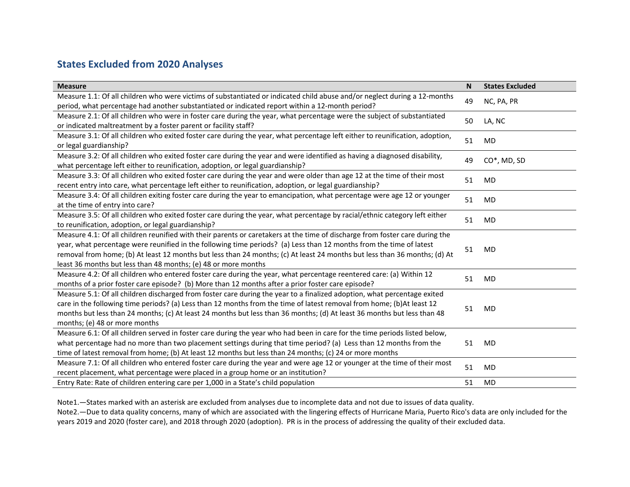### **States Excluded from 2020 Analyses**

| <b>Measure</b>                                                                                                                                                                                                                                                                                                                                                                                                                                     | <b>N</b> | <b>States Excluded</b> |
|----------------------------------------------------------------------------------------------------------------------------------------------------------------------------------------------------------------------------------------------------------------------------------------------------------------------------------------------------------------------------------------------------------------------------------------------------|----------|------------------------|
| Measure 1.1: Of all children who were victims of substantiated or indicated child abuse and/or neglect during a 12-months<br>period, what percentage had another substantiated or indicated report within a 12-month period?                                                                                                                                                                                                                       | 49       | NC, PA, PR             |
| Measure 2.1: Of all children who were in foster care during the year, what percentage were the subject of substantiated<br>or indicated maltreatment by a foster parent or facility staff?                                                                                                                                                                                                                                                         | 50       | LA, NC                 |
| Measure 3.1: Of all children who exited foster care during the year, what percentage left either to reunification, adoption,<br>or legal guardianship?                                                                                                                                                                                                                                                                                             | 51       | MD                     |
| Measure 3.2: Of all children who exited foster care during the year and were identified as having a diagnosed disability,<br>what percentage left either to reunification, adoption, or legal guardianship?                                                                                                                                                                                                                                        | 49       | $CO^*$ , MD, SD        |
| Measure 3.3: Of all children who exited foster care during the year and were older than age 12 at the time of their most<br>recent entry into care, what percentage left either to reunification, adoption, or legal guardianship?                                                                                                                                                                                                                 | 51       | MD                     |
| Measure 3.4: Of all children exiting foster care during the year to emancipation, what percentage were age 12 or younger<br>at the time of entry into care?                                                                                                                                                                                                                                                                                        | 51       | MD                     |
| Measure 3.5: Of all children who exited foster care during the year, what percentage by racial/ethnic category left either<br>to reunification, adoption, or legal guardianship?                                                                                                                                                                                                                                                                   | 51       | MD                     |
| Measure 4.1: Of all children reunified with their parents or caretakers at the time of discharge from foster care during the<br>year, what percentage were reunified in the following time periods? (a) Less than 12 months from the time of latest<br>removal from home; (b) At least 12 months but less than 24 months; (c) At least 24 months but less than 36 months; (d) At<br>least 36 months but less than 48 months; (e) 48 or more months | 51       | MD                     |
| Measure 4.2: Of all children who entered foster care during the year, what percentage reentered care: (a) Within 12<br>months of a prior foster care episode? (b) More than 12 months after a prior foster care episode?                                                                                                                                                                                                                           | 51       | MD                     |
| Measure 5.1: Of all children discharged from foster care during the year to a finalized adoption, what percentage exited<br>care in the following time periods? (a) Less than 12 months from the time of latest removal from home; (b)At least 12<br>months but less than 24 months; (c) At least 24 months but less than 36 months; (d) At least 36 months but less than 48<br>months; (e) 48 or more months                                      | 51       | MD                     |
| Measure 6.1: Of all children served in foster care during the year who had been in care for the time periods listed below,<br>what percentage had no more than two placement settings during that time period? (a) Less than 12 months from the<br>time of latest removal from home; (b) At least 12 months but less than 24 months; (c) 24 or more months                                                                                         | 51       | MD                     |
| Measure 7.1: Of all children who entered foster care during the year and were age 12 or younger at the time of their most<br>recent placement, what percentage were placed in a group home or an institution?                                                                                                                                                                                                                                      | 51       | MD                     |
| Entry Rate: Rate of children entering care per 1,000 in a State's child population                                                                                                                                                                                                                                                                                                                                                                 | 51       | MD                     |

Note1.—States marked with an asterisk are excluded from analyses due to incomplete data and not due to issues of data quality. Note2.—Due to data quality concerns, many of which are associated with the lingering effects of Hurricane Maria, Puerto Rico's data are only included for the years 2019 and 2020 (foster care), and 2018 through 2020 (adoption). PR is in the process of addressing the quality of their excluded data.